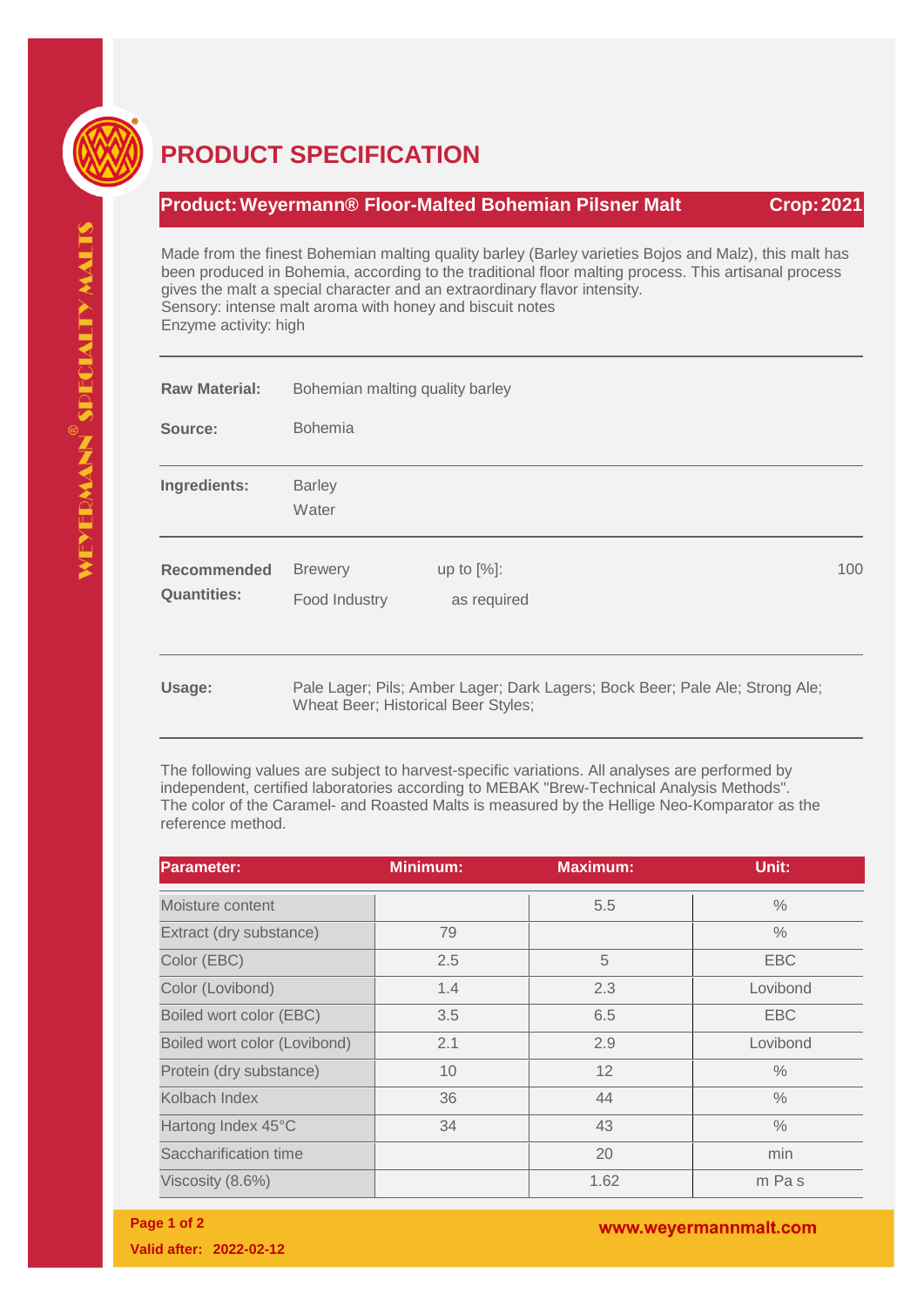

## **PRODUCT SPECIFICATION**

## **Product:Weyermann® Floor-Malted Bohemian Pilsner Malt Crop:2021**

Made from the finest Bohemian malting quality barley (Barley varieties Bojos and Malz), this malt has been produced in Bohemia, according to the traditional floor malting process. This artisanal process gives the malt a special character and an extraordinary flavor intensity. Sensory: intense malt aroma with honey and biscuit notes Enzyme activity: high

| <b>Raw Material:</b>                     | Bohemian malting quality barley<br><b>Bohemia</b>                            |                              |     |  |  |
|------------------------------------------|------------------------------------------------------------------------------|------------------------------|-----|--|--|
| Source:                                  |                                                                              |                              |     |  |  |
| Ingredients:                             | <b>Barley</b><br>Water                                                       |                              |     |  |  |
| <b>Recommended</b><br><b>Quantities:</b> | <b>Brewery</b><br>Food Industry                                              | up to $[%]$ :<br>as required | 100 |  |  |
| Usage:                                   | Pale Lager; Pils; Amber Lager; Dark Lagers; Bock Beer; Pale Ale; Strong Ale; |                              |     |  |  |

Wheat Beer; Historical Beer Styles;

The following values are subject to harvest-specific variations. All analyses are performed by independent, certified laboratories according to MEBAK "Brew-Technical Analysis Methods". The color of the Caramel- and Roasted Malts is measured by the Hellige Neo-Komparator as the reference method.

| <b>Parameter:</b>            | <b>Minimum:</b> | <b>Maximum:</b> | Unit:         |
|------------------------------|-----------------|-----------------|---------------|
| Moisture content             |                 | 5.5             | $\%$          |
| Extract (dry substance)      | 79              |                 | $\frac{0}{0}$ |
| Color (EBC)                  | 2.5             | 5               | <b>EBC</b>    |
| Color (Lovibond)             | 1.4             | 2.3             | Lovibond      |
| Boiled wort color (EBC)      | 3.5             | 6.5             | <b>EBC</b>    |
| Boiled wort color (Lovibond) | 2.1             | 2.9             | Lovibond      |
| Protein (dry substance)      | 10              | 12              | $\%$          |
| Kolbach Index                | 36              | 44              | $\%$          |
| Hartong Index 45°C           | 34              | 43              | $\%$          |
| Saccharification time        |                 | 20              | min           |
| Viscosity (8.6%)             |                 | 1.62            | m Pas         |